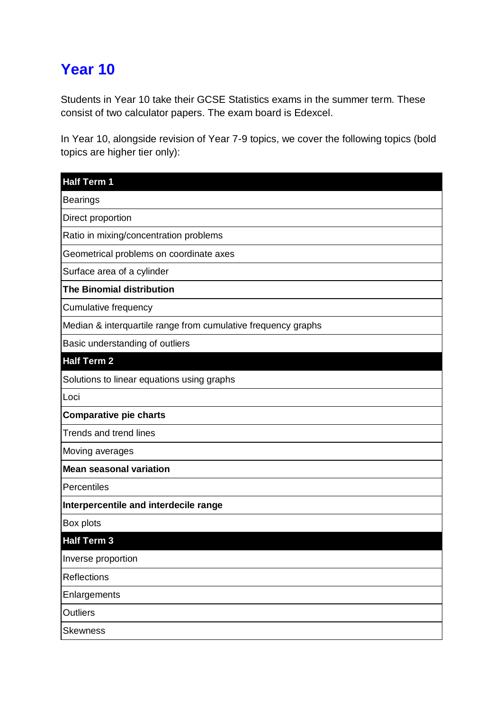## **Year 10**

Students in Year 10 take their GCSE Statistics exams in the summer term. These consist of two calculator papers. The exam board is Edexcel.

In Year 10, alongside revision of Year 7-9 topics, we cover the following topics (bold topics are higher tier only):

| <b>Half Term 1</b>                                            |
|---------------------------------------------------------------|
| <b>Bearings</b>                                               |
| Direct proportion                                             |
| Ratio in mixing/concentration problems                        |
| Geometrical problems on coordinate axes                       |
| Surface area of a cylinder                                    |
| <b>The Binomial distribution</b>                              |
| Cumulative frequency                                          |
| Median & interquartile range from cumulative frequency graphs |
| Basic understanding of outliers                               |
| <b>Half Term 2</b>                                            |
| Solutions to linear equations using graphs                    |
| Loci                                                          |
| <b>Comparative pie charts</b>                                 |
| <b>Trends and trend lines</b>                                 |
| Moving averages                                               |
| <b>Mean seasonal variation</b>                                |
| Percentiles                                                   |
| Interpercentile and interdecile range                         |
| <b>Box plots</b>                                              |
| <b>Half Term 3</b>                                            |
| Inverse proportion                                            |
| Reflections                                                   |
| Enlargements                                                  |
| <b>Outliers</b>                                               |
| <b>Skewness</b>                                               |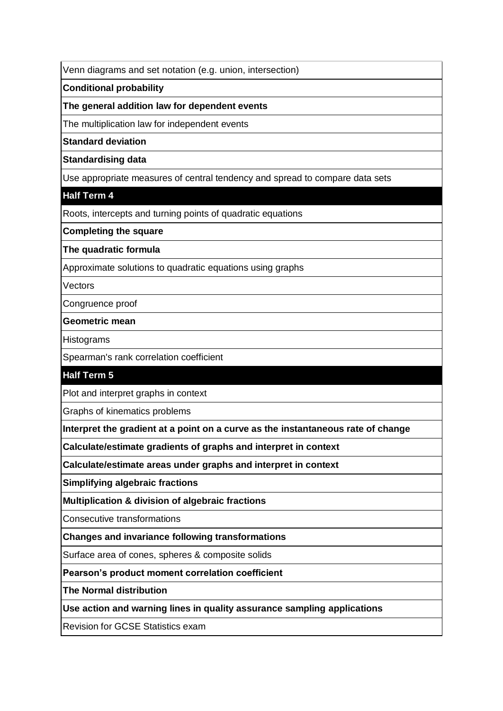Venn diagrams and set notation (e.g. union, intersection)

**Conditional probability**

**The general addition law for dependent events**

The multiplication law for independent events

**Standard deviation**

**Standardising data**

Use appropriate measures of central tendency and spread to compare data sets

**Half Term 4**

Roots, intercepts and turning points of quadratic equations

**Completing the square**

**The quadratic formula**

Approximate solutions to quadratic equations using graphs

**Vectors** 

Congruence proof

**Geometric mean**

**Histograms** 

Spearman's rank correlation coefficient

## **Half Term 5**

Plot and interpret graphs in context

Graphs of kinematics problems

**Interpret the gradient at a point on a curve as the instantaneous rate of change**

**Calculate/estimate gradients of graphs and interpret in context**

**Calculate/estimate areas under graphs and interpret in context**

**Simplifying algebraic fractions**

**Multiplication & division of algebraic fractions**

Consecutive transformations

**Changes and invariance following transformations**

Surface area of cones, spheres & composite solids

**Pearson's product moment correlation coefficient**

**The Normal distribution**

**Use action and warning lines in quality assurance sampling applications**

Revision for GCSE Statistics exam